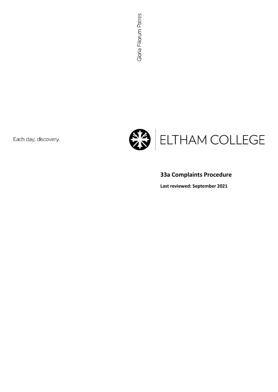Each day, discovery.



# **33a Complaints Procedure**

**Last reviewed: September 2021**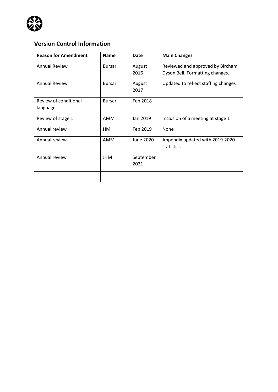

## **Version Control Information**

| <b>Reason for Amendment</b> | <b>Name</b>   | Date      | <b>Main Changes</b>                 |
|-----------------------------|---------------|-----------|-------------------------------------|
| <b>Annual Review</b>        | <b>Bursar</b> | August    | Reviewed and approved by Bircham    |
|                             |               | 2016      | Dyson Bell. Formatting changes.     |
| <b>Annual Review</b>        | <b>Bursar</b> | August    | Updated to reflect staffing changes |
|                             |               | 2017      |                                     |
| Review of conditional       | <b>Bursar</b> | Feb 2018  |                                     |
| language                    |               |           |                                     |
| Review of stage 1           | <b>AMM</b>    | Jan 2019  | Inclusion of a meeting at stage 1   |
| Annual review               | <b>HM</b>     | Feb 2019  | None                                |
| Annual review               | AMM           | June 2020 | Appendix updated with 2019-2020     |
|                             |               |           | statistics                          |
| Annual review               | <b>JHM</b>    | September |                                     |
|                             |               | 2021      |                                     |
|                             |               |           |                                     |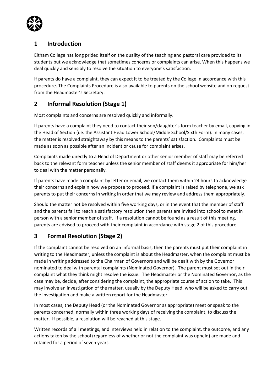

#### **1 Introduction**

Eltham College has long prided itself on the quality of the teaching and pastoral care provided to its students but we acknowledge that sometimes concerns or complaints can arise. When this happens we deal quickly and sensibly to resolve the situation to everyone's satisfaction.

If parents do have a complaint, they can expect it to be treated by the College in accordance with this procedure. The Complaints Procedure is also available to parents on the school website and on request from the Headmaster's Secretary.

### **2 Informal Resolution (Stage 1)**

Most complaints and concerns are resolved quickly and informally.

If parents have a complaint they need to contact their son/daughter's form teacher by email, copying in the Head of Section (i.e. the Assistant Head Lower School/Middle School/Sixth Form). In many cases, the matter is resolved straightaway by this means to the parents' satisfaction. Complaints must be made as soon as possible after an incident or cause for complaint arises.

Complaints made directly to a Head of Department or other senior member of staff may be referred back to the relevant form teacher unless the senior member of staff deems it appropriate for him/her to deal with the matter personally.

If parents have made a complaint by letter or email, we contact them within 24 hours to acknowledge their concerns and explain how we propose to proceed. If a complaint is raised by telephone, we ask parents to put their concerns in writing in order that we may review and address them appropriately.

Should the matter not be resolved within five working days, or in the event that the member of staff and the parents fail to reach a satisfactory resolution then parents are invited into school to meet in person with a senior member of staff. If a resolution cannot be found as a result of this meeting, parents are advised to proceed with their complaint in accordance with stage 2 of this procedure.

### **3 Formal Resolution (Stage 2)**

If the complaint cannot be resolved on an informal basis, then the parents must put their complaint in writing to the Headmaster, unless the complaint is about the Headmaster, when the complaint must be made in writing addressed to the Chairman of Governors and will be dealt with by the Governor nominated to deal with parental complaints (Nominated Governor). The parent must set out in their complaint what they think might resolve the issue. The Headmaster or the Nominated Governor, as the case may be, decide, after considering the complaint, the appropriate course of action to take. This may involve an investigation of the matter, usually by the Deputy Head, who will be asked to carry out the investigation and make a written report for the Headmaster.

In most cases, the Deputy Head (or the Nominated Governor as appropriate) meet or speak to the parents concerned, normally within three working days of receiving the complaint, to discuss the matter. If possible, a resolution will be reached at this stage.

Written records of all meetings, and interviews held in relation to the complaint, the outcome, and any actions taken by the school (regardless of whether or not the complaint was upheld) are made and retained for a period of seven years.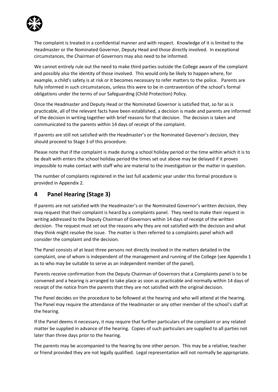

The complaint is treated in a confidential manner and with respect. Knowledge of it is limited to the Headmaster or the Nominated Governor, Deputy Head and those directly involved. In exceptional circumstances, the Chairman of Governors may also need to be informed.

We cannot entirely rule out the need to make third parties outside the College aware of the complaint and possibly also the identity of those involved. This would only be likely to happen where, for example, a child's safety is at risk or it becomes necessary to refer matters to the police. Parents are fully informed in such circumstances, unless this were to be in contravention of the school's formal obligations under the terms of our Safeguarding (Child Protection) Policy.

Once the Headmaster and Deputy Head or the Nominated Governor is satisfied that, so far as is practicable, all of the relevant facts have been established, a decision is made and parents are informed of the decision in writing together with brief reasons for that decision. The decision is taken and communicated to the parents within 14 days of receipt of the complaint.

If parents are still not satisfied with the Headmaster's or the Nominated Governor's decision, they should proceed to Stage 3 of this procedure.

Please note that if the complaint is made during a school holiday period or the time within which it is to be dealt with enters the school holiday period the times set out above may be delayed if it proves impossible to make contact with staff who are material to the investigation or the matter in question.

The number of complaints registered in the last full academic year under this formal procedure is provided in Appendix 2.

#### **4 Panel Hearing (Stage 3)**

If parents are not satisfied with the Headmaster's or the Nominated Governor's written decision, they may request that their complaint is heard by a complaints panel. They need to make their request in writing addressed to the Deputy Chairman of Governors within 14 days of receipt of the written decision. The request must set out the reasons why they are not satisfied with the decision and what they think might resolve the issue. The matter is then referred to a complaints panel which will consider the complaint and the decision.

The Panel consists of at least three persons not directly involved in the matters detailed in the complaint, one of whom is independent of the management and running of the College (see Appendix 1 as to who may be suitable to serve as an independent member of the panel).

Parents receive confirmation from the Deputy Chairman of Governors that a Complaints panel is to be convened and a hearing is arranged to take place as soon as practicable and normally within 14 days of receipt of the notice from the parents that they are not satisfied with the original decision.

The Panel decides on the procedure to be followed at the hearing and who will attend at the hearing. The Panel may require the attendance of the Headmaster or any other member of the school's staff at the hearing.

If the Panel deems it necessary, it may require that further particulars of the complaint or any related matter be supplied in advance of the hearing. Copies of such particulars are supplied to all parties not later than three days prior to the hearing.

The parents may be accompanied to the hearing by one other person. This may be a relative, teacher or friend provided they are not legally qualified. Legal representation will not normally be appropriate.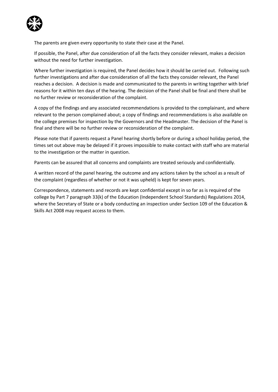

The parents are given every opportunity to state their case at the Panel.

If possible, the Panel, after due consideration of all the facts they consider relevant, makes a decision without the need for further investigation.

Where further investigation is required, the Panel decides how it should be carried out. Following such further investigations and after due consideration of all the facts they consider relevant, the Panel reaches a decision. A decision is made and communicated to the parents in writing together with brief reasons for it within ten days of the hearing. The decision of the Panel shall be final and there shall be no further review or reconsideration of the complaint.

A copy of the findings and any associated recommendations is provided to the complainant, and where relevant to the person complained about; a copy of findings and recommendations is also available on the college premises for inspection by the Governors and the Headmaster. The decision of the Panel is final and there will be no further review or reconsideration of the complaint.

Please note that if parents request a Panel hearing shortly before or during a school holiday period, the times set out above may be delayed if it proves impossible to make contact with staff who are material to the investigation or the matter in question.

Parents can be assured that all concerns and complaints are treated seriously and confidentially.

A written record of the panel hearing, the outcome and any actions taken by the school as a result of the complaint (regardless of whether or not it was upheld) is kept for seven years.

Correspondence, statements and records are kept confidential except in so far as is required of the college by Part 7 paragraph 33(k) of the Education (Independent School Standards) Regulations 2014, where the Secretary of State or a body conducting an inspection under Section 109 of the Education & Skills Act 2008 may request access to them.